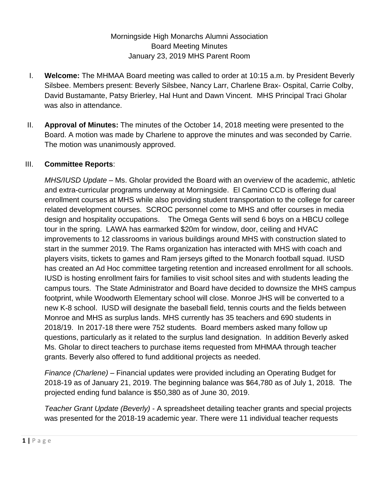Morningside High Monarchs Alumni Association Board Meeting Minutes January 23, 2019 MHS Parent Room

- I. **Welcome:** The MHMAA Board meeting was called to order at 10:15 a.m. by President Beverly Silsbee. Members present: Beverly Silsbee, Nancy Larr, Charlene Brax- Ospital, Carrie Colby, David Bustamante, Patsy Brierley, Hal Hunt and Dawn Vincent. MHS Principal Traci Gholar was also in attendance.
- II. **Approval of Minutes:** The minutes of the October 14, 2018 meeting were presented to the Board. A motion was made by Charlene to approve the minutes and was seconded by Carrie. The motion was unanimously approved.

## III. **Committee Reports**:

*MHS/IUSD Update* – Ms. Gholar provided the Board with an overview of the academic, athletic and extra-curricular programs underway at Morningside. El Camino CCD is offering dual enrollment courses at MHS while also providing student transportation to the college for career related development courses. SCROC personnel come to MHS and offer courses in media design and hospitality occupations. The Omega Gents will send 6 boys on a HBCU college tour in the spring. LAWA has earmarked \$20m for window, door, ceiling and HVAC improvements to 12 classrooms in various buildings around MHS with construction slated to start in the summer 2019. The Rams organization has interacted with MHS with coach and players visits, tickets to games and Ram jerseys gifted to the Monarch football squad. IUSD has created an Ad Hoc committee targeting retention and increased enrollment for all schools. IUSD is hosting enrollment fairs for families to visit school sites and with students leading the campus tours. The State Administrator and Board have decided to downsize the MHS campus footprint, while Woodworth Elementary school will close. Monroe JHS will be converted to a new K-8 school. IUSD will designate the baseball field, tennis courts and the fields between Monroe and MHS as surplus lands. MHS currently has 35 teachers and 690 students in 2018/19. In 2017-18 there were 752 students. Board members asked many follow up questions, particularly as it related to the surplus land designation. In addition Beverly asked Ms. Gholar to direct teachers to purchase items requested from MHMAA through teacher grants. Beverly also offered to fund additional projects as needed.

*Finance (Charlene)* – Financial updates were provided including an Operating Budget for 2018-19 as of January 21, 2019. The beginning balance was \$64,780 as of July 1, 2018. The projected ending fund balance is \$50,380 as of June 30, 2019.

*Teacher Grant Update (Beverly)* - A spreadsheet detailing teacher grants and special projects was presented for the 2018-19 academic year. There were 11 individual teacher requests